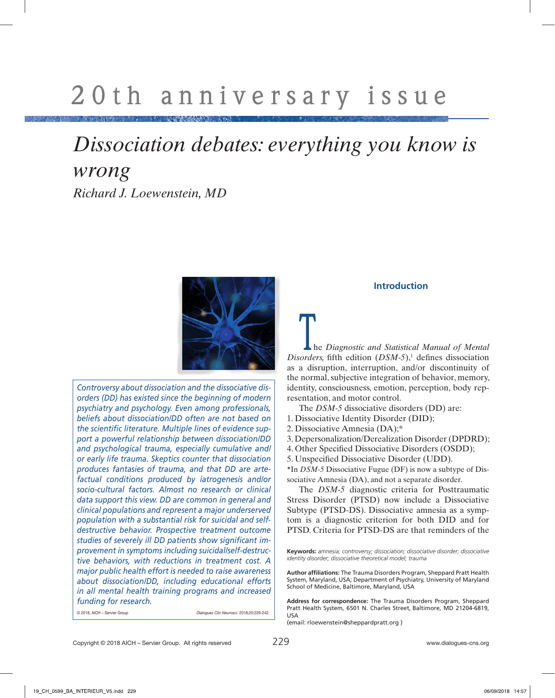# *Dissociation debates: everything you know is wrong Richard J. Loewenstein, MD*



*Controversy about dissociation and the dissociative disorders (DD) has existed since the beginning of modern psychiatry and psychology. Even among professionals, beliefs about dissociation/DD often are not based on the scientific literature. Multiple lines of evidence support a powerful relationship between dissociation/DD and psychological trauma, especially cumulative and/ or early life trauma. Skeptics counter that dissociation produces fantasies of trauma, and that DD are artefactual conditions produced by iatrogenesis and/or socio-cultural factors. Almost no research or clinical data support this view. DD are common in general and clinical populations and represent a major underserved population with a substantial risk for suicidal and selfdestructive behavior. Prospective treatment outcome studies of severely ill DD patients show significant improvement in symptoms including suicidal/self-destructive behaviors, with reductions in treatment cost. A major public health effort is needed to raise awareness about dissociation/DD, including educational efforts in all mental health training programs and increased funding for research.* 

© 2018, AICH – Servier Group *Dialogues Clin Neurosci*. 2018;20:229-242.

# **Introduction**

**L** he *Diagnostic and Statistical Manual of Mental*  $Disorders,$  fifth edition  $(DSM-5)$ ,<sup>1</sup> defines dissociation as a disruption, interruption, and/or discontinuity of the normal, subjective integration of behavior, memory, identity, consciousness, emotion, perception, body representation, and motor control.

The *DSM-5* dissociative disorders (DD) are:

- 1. Dissociative Identity Disorder (DID);
- 2. Dissociative Amnesia (DA);\*

3. Depersonalization/Derealization Disorder (DPDRD);

- 4. Other Specified Dissociative Disorders (OSDD);
- 5. Unspecified Dissociative Disorder (UDD).

\*In *DSM-5* Dissociative Fugue (DF) is now a subtype of Dissociative Amnesia (DA), and not a separate disorder.

The *DSM-5* diagnostic criteria for Posttraumatic Stress Disorder (PTSD) now include a Dissociative Subtype (PTSD-DS). Dissociative amnesia as a symptom is a diagnostic criterion for both DID and for PTSD. Criteria for PTSD-DS are that reminders of the

(email: rloewenstein@sheppardpratt.org )

**Keywords:** *amnesia; controversy; dissociation; dissociative disorder; dissociative identity disorder; dissociative theoretical model; trauma* 

**Author affiliations:** The Trauma Disorders Program, Sheppard Pratt Health System, Maryland, USA; Department of Psychiatry, University of Maryland School of Medicine, Baltimore, Maryland, USA

**Address for correspondence:** The Trauma Disorders Program, Sheppard Pratt Health System, 6501 N. Charles Street, Baltimore, MD 21204-6819, USA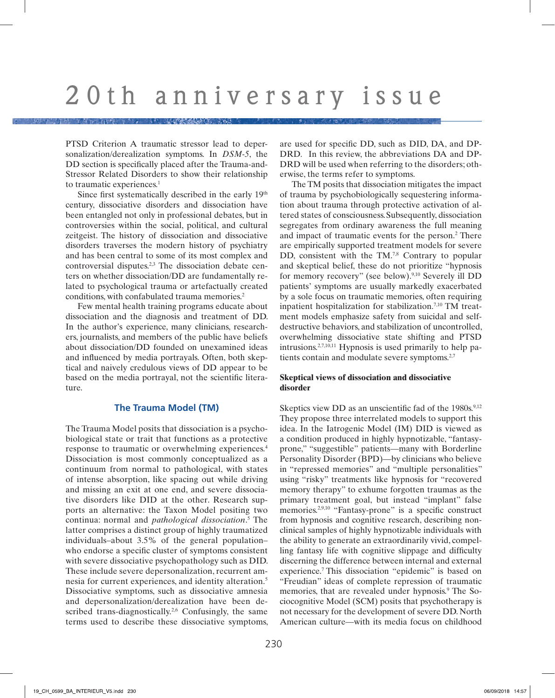PTSD Criterion A traumatic stressor lead to depersonalization/derealization symptoms. In *DSM-5*, the DD section is specifically placed after the Trauma-and-Stressor Related Disorders to show their relationship to traumatic experiences.<sup>1</sup>

Since first systematically described in the early 19<sup>th</sup> century, dissociative disorders and dissociation have been entangled not only in professional debates, but in controversies within the social, political, and cultural zeitgeist. The history of dissociation and dissociative disorders traverses the modern history of psychiatry and has been central to some of its most complex and controversial disputes.2,3 The dissociation debate centers on whether dissociation/DD are fundamentally related to psychological trauma or artefactually created conditions, with confabulated trauma memories.2

Few mental health training programs educate about dissociation and the diagnosis and treatment of DD. In the author's experience, many clinicians, researchers, journalists, and members of the public have beliefs about dissociation/DD founded on unexamined ideas and influenced by media portrayals. Often, both skeptical and naively credulous views of DD appear to be based on the media portrayal, not the scientific literature.

## **The Trauma Model (TM)**

The Trauma Model posits that dissociation is a psychobiological state or trait that functions as a protective response to traumatic or overwhelming experiences.4 Dissociation is most commonly conceptualized as a continuum from normal to pathological, with states of intense absorption, like spacing out while driving and missing an exit at one end, and severe dissociative disorders like DID at the other. Research supports an alternative: the Taxon Model positing two continua: normal and *pathological dissociation*. 5 The latter comprises a distinct group of highly traumatized individuals–about 3.5% of the general population– who endorse a specific cluster of symptoms consistent with severe dissociative psychopathology such as DID. These include severe depersonalization, recurrent amnesia for current experiences, and identity alteration.5 Dissociative symptoms, such as dissociative amnesia and depersonalization/derealization have been described trans-diagnostically.<sup>2,6</sup> Confusingly, the same terms used to describe these dissociative symptoms, are used for specific DD, such as DID, DA, and DP-DRD. In this review, the abbreviations DA and DP-DRD will be used when referring to the disorders; otherwise, the terms refer to symptoms.

The TM posits that dissociation mitigates the impact of trauma by psychobiologically sequestering information about trauma through protective activation of altered states of consciousness.Subsequently, dissociation segregates from ordinary awareness the full meaning and impact of traumatic events for the person.<sup>2</sup> There are empirically supported treatment models for severe DD, consistent with the TM.<sup>7,8</sup> Contrary to popular and skeptical belief, these do not prioritize "hypnosis for memory recovery" (see below).9,10 Severely ill DD patients' symptoms are usually markedly exacerbated by a sole focus on traumatic memories, often requiring inpatient hospitalization for stabilization.<sup>7,10</sup> TM treatment models emphasize safety from suicidal and selfdestructive behaviors, and stabilization of uncontrolled, overwhelming dissociative state shifting and PTSD intrusions.<sup>2,7,10,11</sup> Hypnosis is used primarily to help patients contain and modulate severe symptoms.<sup>2,7</sup>

# **Skeptical views of dissociation and dissociative disorder**

Skeptics view DD as an unscientific fad of the 1980s.<sup>9,12</sup> They propose three interrelated models to support this idea. In the Iatrogenic Model (IM) DID is viewed as a condition produced in highly hypnotizable, "fantasyprone," "suggestible" patients—many with Borderline Personality Disorder (BPD)—by clinicians who believe in "repressed memories" and "multiple personalities" using "risky" treatments like hypnosis for "recovered memory therapy" to exhume forgotten traumas as the primary treatment goal, but instead "implant" false memories.<sup>2,9,10</sup> "Fantasy-prone" is a specific construct from hypnosis and cognitive research, describing nonclinical samples of highly hypnotizable individuals with the ability to generate an extraordinarily vivid, compelling fantasy life with cognitive slippage and difficulty discerning the difference between internal and external experience.7 This dissociation "epidemic" is based on "Freudian" ideas of complete repression of traumatic memories, that are revealed under hypnosis.<sup>9</sup> The Sociocognitive Model (SCM) posits that psychotherapy is not necessary for the development of severe DD. North American culture—with its media focus on childhood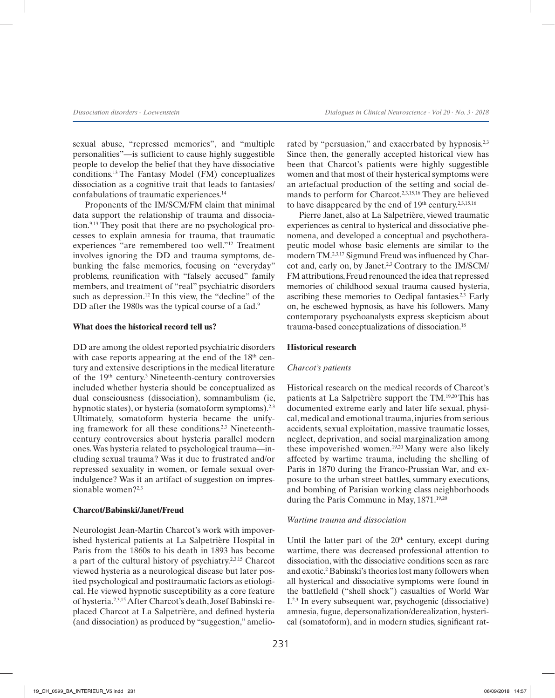sexual abuse, "repressed memories", and "multiple personalities"—is sufficient to cause highly suggestible people to develop the belief that they have dissociative conditions.13 The Fantasy Model (FM) conceptualizes dissociation as a cognitive trait that leads to fantasies/ confabulations of traumatic experiences.14

Proponents of the IM/SCM/FM claim that minimal data support the relationship of trauma and dissociation.9,13 They posit that there are no psychological processes to explain amnesia for trauma, that traumatic experiences "are remembered too well."12 Treatment involves ignoring the DD and trauma symptoms, debunking the false memories, focusing on "everyday" problems, reunification with "falsely accused" family members, and treatment of "real" psychiatric disorders such as depression.<sup>12</sup> In this view, the "decline" of the DD after the 1980s was the typical course of a fad.<sup>9</sup>

#### **What does the historical record tell us?**

DD are among the oldest reported psychiatric disorders with case reports appearing at the end of the 18<sup>th</sup> century and extensive descriptions in the medical literature of the 19<sup>th</sup> century.<sup>3</sup> Nineteenth-century controversies included whether hysteria should be conceptualized as dual consciousness (dissociation), somnambulism (ie, hypnotic states), or hysteria (somatoform symptoms).<sup>2,3</sup> Ultimately, somatoform hysteria became the unifying framework for all these conditions.2,3 Nineteenthcentury controversies about hysteria parallel modern ones. Was hysteria related to psychological trauma—including sexual trauma? Was it due to frustrated and/or repressed sexuality in women, or female sexual overindulgence? Was it an artifact of suggestion on impressionable women?2,3

#### **Charcot/Babinski/Janet/Freud**

Neurologist Jean-Martin Charcot's work with impoverished hysterical patients at La Salpetrière Hospital in Paris from the 1860s to his death in 1893 has become a part of the cultural history of psychiatry.2,3,15 Charcot viewed hysteria as a neurological disease but later posited psychological and posttraumatic factors as etiological. He viewed hypnotic susceptibility as a core feature of hysteria.2,3,15 After Charcot's death, Josef Babinski replaced Charcot at La Salpetrière, and defined hysteria (and dissociation) as produced by "suggestion," ameliorated by "persuasion," and exacerbated by hypnosis.<sup>2,3</sup> Since then, the generally accepted historical view has been that Charcot's patients were highly suggestible women and that most of their hysterical symptoms were an artefactual production of the setting and social demands to perform for Charcot.2,3,15,16 They are believed to have disappeared by the end of  $19<sup>th</sup>$  century.<sup>2,3,15,16</sup>

Pierre Janet, also at La Salpetrière, viewed traumatic experiences as central to hysterical and dissociative phenomena, and developed a conceptual and psychotherapeutic model whose basic elements are similar to the modern TM.2,3,17 Sigmund Freud was influenced by Charcot and, early on, by Janet.2,3 Contrary to the IM/SCM/ FM attributions, Freud renounced the idea that repressed memories of childhood sexual trauma caused hysteria, ascribing these memories to Oedipal fantasies.<sup>2,3</sup> Early on, he eschewed hypnosis, as have his followers. Many contemporary psychoanalysts express skepticism about trauma-based conceptualizations of dissociation.18

#### **Historical research**

#### *Charcot's patients*

Historical research on the medical records of Charcot's patients at La Salpetrière support the TM.19,20 This has documented extreme early and later life sexual, physical, medical and emotional trauma, injuries from serious accidents, sexual exploitation, massive traumatic losses, neglect, deprivation, and social marginalization among these impoverished women.<sup>19,20</sup> Many were also likely affected by wartime trauma, including the shelling of Paris in 1870 during the Franco-Prussian War, and exposure to the urban street battles, summary executions, and bombing of Parisian working class neighborhoods during the Paris Commune in May, 1871.<sup>19,20</sup>

#### *Wartime trauma and dissociation*

Until the latter part of the 20<sup>th</sup> century, except during wartime, there was decreased professional attention to dissociation, with the dissociative conditions seen as rare and exotic.2 Babinski's theories lost many followers when all hysterical and dissociative symptoms were found in the battlefield ("shell shock") casualties of World War I.2,3 In every subsequent war, psychogenic (dissociative) amnesia, fugue, depersonalization/derealization, hysterical (somatoform), and in modern studies, significant rat-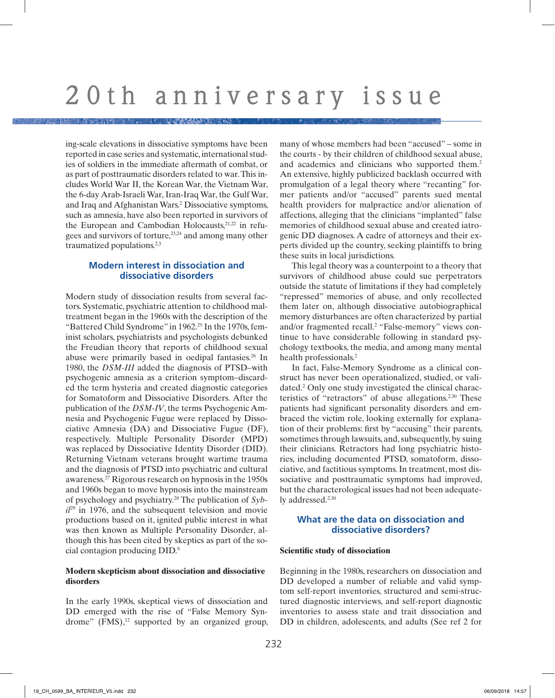ing-scale elevations in dissociative symptoms have been reported in case series and systematic, international studies of soldiers in the immediate aftermath of combat, or as part of posttraumatic disorders related to war. This includes World War II, the Korean War, the Vietnam War, the 6-day Arab-Israeli War, Iran-Iraq War, the Gulf War, and Iraq and Afghanistan Wars.2 Dissociative symptoms, such as amnesia, have also been reported in survivors of the European and Cambodian Holocausts, $21,22$  in refugees and survivors of torture,<sup>23,24</sup> and among many other traumatized populations.<sup>2,3</sup>

# **Modern interest in dissociation and dissociative disorders**

Modern study of dissociation results from several factors. Systematic, psychiatric attention to childhood maltreatment began in the 1960s with the description of the "Battered Child Syndrome" in 1962.<sup>25</sup> In the 1970s, feminist scholars, psychiatrists and psychologists debunked the Freudian theory that reports of childhood sexual abuse were primarily based in oedipal fantasies.<sup>26</sup> In 1980, the *DSM-III* added the diagnosis of PTSD–with psychogenic amnesia as a criterion symptom–discarded the term hysteria and created diagnostic categories for Somatoform and Dissociative Disorders*.* After the publication of the *DSM-IV*, the terms Psychogenic Amnesia and Psychogenic Fugue were replaced by Dissociative Amnesia (DA) and Dissociative Fugue (DF), respectively. Multiple Personality Disorder (MPD) was replaced by Dissociative Identity Disorder (DID). Returning Vietnam veterans brought wartime trauma and the diagnosis of PTSD into psychiatric and cultural awareness.27 Rigorous research on hypnosis in the 1950s and 1960s began to move hypnosis into the mainstream of psychology and psychiatry.28 The publication of *Sybil*<sup>29</sup> in 1976, and the subsequent television and movie productions based on it, ignited public interest in what was then known as Multiple Personality Disorder, although this has been cited by skeptics as part of the social contagion producing DID.9

### **Modern skepticism about dissociation and dissociative disorders**

In the early 1990s, skeptical views of dissociation and DD emerged with the rise of "False Memory Syndrome"  $(FMS)$ ,<sup>12</sup> supported by an organized group, many of whose members had been "accused" – some in the courts - by their children of childhood sexual abuse, and academics and clinicians who supported them.<sup>2</sup> An extensive, highly publicized backlash occurred with promulgation of a legal theory where "recanting" former patients and/or "accused" parents sued mental health providers for malpractice and/or alienation of affections, alleging that the clinicians "implanted" false memories of childhood sexual abuse and created iatrogenic DD diagnoses. A cadre of attorneys and their experts divided up the country, seeking plaintiffs to bring these suits in local jurisdictions.

This legal theory was a counterpoint to a theory that survivors of childhood abuse could sue perpetrators outside the statute of limitations if they had completely "repressed" memories of abuse, and only recollected them later on, although dissociative autobiographical memory disturbances are often characterized by partial and/or fragmented recall.<sup>2</sup> "False-memory" views continue to have considerable following in standard psychology textbooks, the media, and among many mental health professionals.2

In fact, False-Memory Syndrome as a clinical construct has never been operationalized, studied, or validated.2 Only one study investigated the clinical characteristics of "retractors" of abuse allegations.2,30 These patients had significant personality disorders and embraced the victim role, looking externally for explanation of their problems: first by "accusing" their parents, sometimes through lawsuits, and, subsequently, by suing their clinicians. Retractors had long psychiatric histories, including documented PTSD, somatoform, dissociative, and factitious symptoms. In treatment, most dissociative and posttraumatic symptoms had improved, but the characterological issues had not been adequately addressed.<sup>2,30</sup>

# **What are the data on dissociation and dissociative disorders?**

## **Scientific study of dissociation**

Beginning in the 1980s, researchers on dissociation and DD developed a number of reliable and valid symptom self-report inventories, structured and semi-structured diagnostic interviews, and self-report diagnostic inventories to assess state and trait dissociation and DD in children, adolescents, and adults (See ref 2 for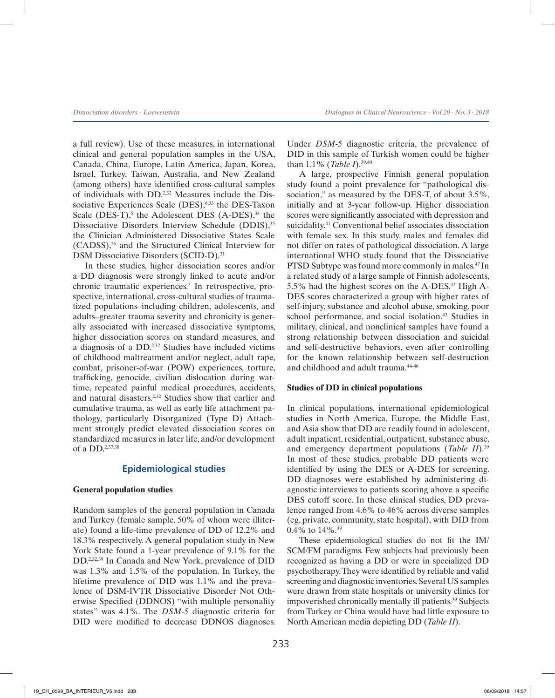a full review). Use of these measures, in international clinical and general population samples in the USA, Canada, China, Europe, Latin America, Japan, Korea, Israel, Turkey, Taiwan, Australia, and New Zealand (among others) have identified cross-cultural samples of individuals with DD.2,32 Measures include the Dissociative Experiences Scale (DES), 6,33 the DES-Taxon Scale (DES-T),<sup>5</sup> the Adolescent DES  $(A-DES),^{34}$  the Dissociative Disorders Interview Schedule (DDIS),<sup>35</sup> the Clinician Administered Dissociative States Scale (CADSS),36 and the Structured Clinical Interview for DSM Dissociative Disorders (SCID-D).<sup>31</sup>

In these studies, higher dissociation scores and/or a DD diagnosis were strongly linked to acute and/or chronic traumatic experiences.<sup>2</sup> In retrospective, prospective, international, cross-cultural studies of traumatized populations–including children, adolescents, and adults–greater trauma severity and chronicity is generally associated with increased dissociative symptoms, higher dissociation scores on standard measures, and a diagnosis of a DD.2,32 Studies have included victims of childhood maltreatment and/or neglect, adult rape, combat, prisoner-of-war (POW) experiences, torture, trafficking, genocide, civilian dislocation during wartime, repeated painful medical procedures, accidents, and natural disasters.2,32 Studies show that earlier and cumulative trauma, as well as early life attachment pathology, particularly Disorganized (Type D) Attachment strongly predict elevated dissociation scores on standardized measures in later life, and/or development of a DD.2,37,38

# **Epidemiological studies**

## **General population studies**

Random samples of the general population in Canada and Turkey (female sample, 50% of whom were illiterate) found a life-time prevalence of DD of 12.2% and 18.3% respectively. A general population study in New York State found a 1-year prevalence of 9.1% for the DD.2,32,39 In Canada and New York, prevalence of DID was 1.3% and 1.5% of the population. In Turkey, the lifetime prevalence of DID was 1.1% and the prevalence of DSM-IVTR Dissociative Disorder Not Otherwise Specified (DDNOS) "with multiple personality states" was 4.1%. The *DSM-5* diagnostic criteria for DID were modified to decrease DDNOS diagnoses. Under *DSM-5* diagnostic criteria, the prevalence of DID in this sample of Turkish women could be higher than 1.1% (*Table I*).39,40

A large, prospective Finnish general population study found a point prevalence for "pathological dissociation," as measured by the DES-T, of about 3.5%, initially and at 3-year follow-up. Higher dissociation scores were significantly associated with depression and suicidality.41 Conventional belief associates dissociation with female sex. In this study, males and females did not differ on rates of pathological dissociation. A large international WHO study found that the Dissociative PTSD Subtype was found more commonly in males.47 In a related study of a large sample of Finnish adolescents, 5.5% had the highest scores on the A-DES.<sup>42</sup> High A-DES scores characterized a group with higher rates of self-injury, substance and alcohol abuse, smoking, poor school performance, and social isolation.<sup>43</sup> Studies in military, clinical, and nonclinical samples have found a strong relationship between dissociation and suicidal and self-destructive behaviors, even after controlling for the known relationship between self-destruction and childhood and adult trauma.<sup>44-46</sup>

#### **Studies of DD in clinical populations**

In clinical populations, international epidemiological studies in North America, Europe, the Middle East, and Asia show that DD are readily found in adolescent, adult inpatient, residential, outpatient, substance abuse, and emergency department populations (*Table II*).<sup>39</sup> In most of these studies, probable DD patients were identified by using the DES or A-DES for screening. DD diagnoses were established by administering diagnostic interviews to patients scoring above a specific DES cutoff score. In these clinical studies, DD prevalence ranged from 4.6% to 46% across diverse samples (eg, private, community, state hospital), with DID from 0.4% to 14%.39

These epidemiological studies do not fit the IM/ SCM/FM paradigms. Few subjects had previously been recognized as having a DD or were in specialized DD psychotherapy. They were identified by reliable and valid screening and diagnostic inventories. Several US samples were drawn from state hospitals or university clinics for impoverished chronically mentally ill patients.39 Subjects from Turkey or China would have had little exposure to North American media depicting DD (*Table II*).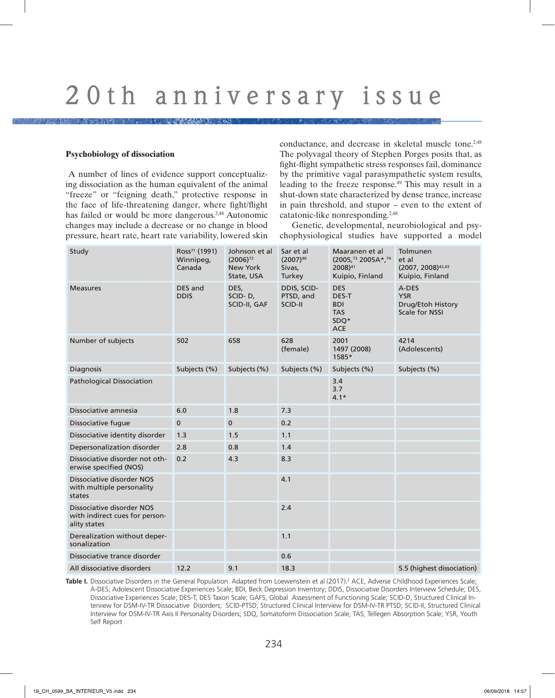#### **Psychobiology of dissociation**

 A number of lines of evidence support conceptualizing dissociation as the human equivalent of the animal "freeze" or "feigning death," protective response in the face of life-threatening danger, where fight/flight has failed or would be more dangerous.<sup>2,48</sup> Autonomic changes may include a decrease or no change in blood pressure, heart rate, heart rate variability, lowered skin conductance, and decrease in skeletal muscle tone.<sup>2,48</sup> The polyvagal theory of Stephen Porges posits that, as fight-flight sympathetic stress responses fail, dominance by the primitive vagal parasympathetic system results, leading to the freeze response.49 This may result in a shut-down state characterized by dense trance, increase in pain threshold, and stupor – even to the extent of catatonic-like nonresponding.2,48

Genetic, developmental, neurobiological and psychophysiological studies have supported a model

| Study                                                                       | Ross <sup>71</sup> (1991)<br>Winnipeg,<br>Canada | Johnson et al<br>$(2006)^{72}$<br>New York<br>State, USA | Sar et al<br>$(2007)^{40}$<br>Sivas,<br>Turkey | Maaranen et al<br>(2005, <sup>73</sup> 2005A*, <sup>74</sup><br>2008) <sup>41</sup><br>Kuipio, Finland | Tolmunen<br>et al<br>(2007, 2008)42,43<br>Kuipio, Finland  |  |
|-----------------------------------------------------------------------------|--------------------------------------------------|----------------------------------------------------------|------------------------------------------------|--------------------------------------------------------------------------------------------------------|------------------------------------------------------------|--|
| <b>Measures</b>                                                             | DES and<br><b>DDIS</b>                           | DES,<br>SCID-D,<br>SCID-II, GAF                          | DDIS, SCID-<br>PTSD, and<br>SCID-II            | <b>DES</b><br>DES-T<br><b>BDI</b><br><b>TAS</b><br>SDO*<br><b>ACE</b>                                  | A-DES<br><b>YSR</b><br>Drug/Etoh History<br>Scale for NSSI |  |
| Number of subjects                                                          | 502                                              | 658                                                      | 628<br>(female)                                | 2001<br>1497 (2008)<br>1585*                                                                           | 4214<br>(Adolescents)                                      |  |
| <b>Diagnosis</b>                                                            | Subjects (%)                                     | Subjects (%)                                             | Subjects (%)                                   | Subjects (%)                                                                                           | Subjects (%)                                               |  |
| <b>Pathological Dissociation</b>                                            |                                                  |                                                          |                                                | 3.4<br>3.7<br>$4.1*$                                                                                   |                                                            |  |
| Dissociative amnesia                                                        | 6.0                                              | 1.8                                                      | 7.3                                            |                                                                                                        |                                                            |  |
| Dissociative fugue                                                          | 0                                                | $\mathbf 0$                                              | 0.2                                            |                                                                                                        |                                                            |  |
| Dissociative identity disorder                                              | 1.3                                              | 1.5                                                      | 1.1                                            |                                                                                                        |                                                            |  |
| Depersonalization disorder                                                  | 2.8                                              | 0.8                                                      | 1.4                                            |                                                                                                        |                                                            |  |
| Dissociative disorder not oth-<br>erwise specified (NOS)                    | 0.2                                              | 4.3                                                      | 8.3                                            |                                                                                                        |                                                            |  |
| Dissociative disorder NOS<br>with multiple personality<br>states            |                                                  |                                                          | 4.1                                            |                                                                                                        |                                                            |  |
| Dissociative disorder NOS<br>with indirect cues for person-<br>ality states |                                                  |                                                          | 2.4                                            |                                                                                                        |                                                            |  |
| Derealization without deper-<br>sonalization                                |                                                  |                                                          | 1.1                                            |                                                                                                        |                                                            |  |
| Dissociative trance disorder                                                |                                                  |                                                          | 0.6                                            |                                                                                                        |                                                            |  |
| All dissociative disorders                                                  | 12.2                                             | 9.1                                                      | 18.3                                           |                                                                                                        | 5.5 (highest dissociation)                                 |  |

**Table I.** Dissociative Disorders in the General Population. Adapted from Loewenstein et al (2017).<sup>2</sup> ACE, Adverse Childhood Experiences Scale; A-DES; Adolescent Dissociative Experiences Scale; BDI, Beck Depression Inventory; DDIS, Dissociative Disorders Interview Schedule; DES, Dissociative Experiences Scale; DES-T, DES Taxon Scale; GAFS, Global Assessment of Functioning Scale; SCID-D, Structured Clinical Interview for DSM-IV-TR Dissociative Disorders; SCID-PTSD; Structured Clinical Interview for DSM-IV-TR PTSD; SCID-II, Structured Clinical Interview for DSM-IV-TR Axis II Personality Disorders; SDQ, Somatoform Dissociation Scale; TAS, Tellegen Absorption Scale; YSR, Youth Self Report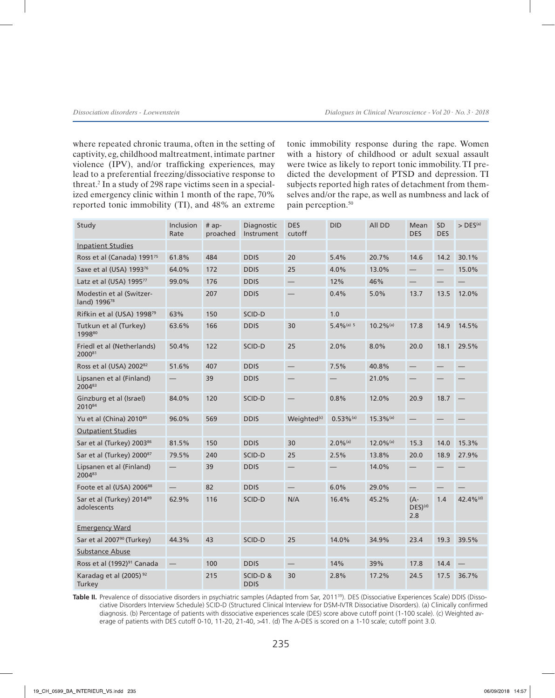where repeated chronic trauma, often in the setting of captivity, eg, childhood maltreatment, intimate partner violence (IPV), and/or trafficking experiences, may lead to a preferential freezing/dissociative response to threat.2 In a study of 298 rape victims seen in a specialized emergency clinic within 1 month of the rape, 70% reported tonic immobility (TI), and 48% an extreme

tonic immobility response during the rape. Women with a history of childhood or adult sexual assault were twice as likely to report tonic immobility. TI predicted the development of PTSD and depression. TI subjects reported high rates of detachment from themselves and/or the rape, as well as numbness and lack of pain perception.<sup>50</sup>

| Study                                                | Inclusion<br>Rate | $# ap-$<br>proached | Diagnostic<br>Instrument | <b>DES</b><br>cutoff     | <b>DID</b>              | All DD                  | Mean<br><b>DES</b>         | SD<br><b>DES</b>  | $>$ DES <sup>(a)</sup> |
|------------------------------------------------------|-------------------|---------------------|--------------------------|--------------------------|-------------------------|-------------------------|----------------------------|-------------------|------------------------|
| <b>Inpatient Studies</b>                             |                   |                     |                          |                          |                         |                         |                            |                   |                        |
| Ross et al (Canada) 1991 <sup>75</sup>               | 61.8%             | 484                 | <b>DDIS</b>              | 20                       | 5.4%                    | 20.7%                   | 14.6                       | 14.2              | 30.1%                  |
| Saxe et al (USA) 199376                              | 64.0%             | 172                 | <b>DDIS</b>              | 25                       | 4.0%                    | 13.0%                   | —                          | $\qquad \qquad -$ | 15.0%                  |
| Latz et al (USA) 1995 <sup>77</sup>                  | 99.0%             | 176                 | <b>DDIS</b>              | $\overline{\phantom{0}}$ | 12%                     | 46%                     |                            |                   |                        |
| Modestin et al (Switzer-<br>land) 1996 <sup>78</sup> |                   | 207                 | <b>DDIS</b>              |                          | 0.4%                    | 5.0%                    | 13.7                       | 13.5              | 12.0%                  |
| Rifkin et al (USA) 1998 <sup>79</sup>                | 63%               | 150                 | SCID-D                   |                          | 1.0                     |                         |                            |                   |                        |
| Tutkun et al (Turkey)<br>199880                      | 63.6%             | 166                 | <b>DDIS</b>              | 30                       | $5.4\%$ (a) 5           | $10.2\%$ <sup>(a)</sup> | 17.8                       | 14.9              | 14.5%                  |
| Friedl et al (Netherlands)<br>200081                 | 50.4%             | 122                 | SCID-D                   | 25                       | 2.0%                    | 8.0%                    | 20.0                       | 18.1              | 29.5%                  |
| Ross et al (USA) 2002 <sup>82</sup>                  | 51.6%             | 407                 | <b>DDIS</b>              |                          | 7.5%                    | 40.8%                   |                            |                   |                        |
| Lipsanen et al (Finland)<br>200483                   |                   | 39                  | <b>DDIS</b>              |                          |                         | 21.0%                   |                            |                   |                        |
| Ginzburg et al (Israel)<br>201084                    | 84.0%             | 120                 | SCID-D                   |                          | 0.8%                    | 12.0%                   | 20.9                       | 18.7              |                        |
| Yu et al (China) 2010 <sup>85</sup>                  | 96.0%             | 569                 | <b>DDIS</b>              | Weighted <sup>(c)</sup>  | $0.53\%$ <sup>(a)</sup> | $15.3\%$ <sup>(a)</sup> | $\overline{\phantom{0}}$   |                   |                        |
| <b>Outpatient Studies</b>                            |                   |                     |                          |                          |                         |                         |                            |                   |                        |
| Sar et al (Turkey) 2003 <sup>86</sup>                | 81.5%             | 150                 | <b>DDIS</b>              | 30                       | $2.0\%$ <sup>(a)</sup>  | $12.0\%$ <sup>(a)</sup> | 15.3                       | 14.0              | 15.3%                  |
| Sar et al (Turkey) 200087                            | 79.5%             | 240                 | SCID-D                   | 25                       | 2.5%                    | 13.8%                   | 20.0                       | 18.9              | 27.9%                  |
| Lipsanen et al (Finland)<br>200483                   |                   | 39                  | <b>DDIS</b>              |                          |                         | 14.0%                   |                            |                   |                        |
| Foote et al (USA) 2006 <sup>88</sup>                 |                   | 82                  | <b>DDIS</b>              |                          | 6.0%                    | 29.0%                   | $\overline{\phantom{0}}$   |                   |                        |
| Sar et al (Turkey) 2014 <sup>89</sup><br>adolescents | 62.9%             | 116                 | SCID-D                   | N/A                      | 16.4%                   | 45.2%                   | (A-<br>$DES)^{(d)}$<br>2.8 | 1.4               | 42.4% <sup>(d)</sup>   |
| <b>Emergency Ward</b>                                |                   |                     |                          |                          |                         |                         |                            |                   |                        |
| Sar et al 2007 <sup>90</sup> (Turkey)                | 44.3%             | 43                  | SCID-D                   | 25                       | 14.0%                   | 34.9%                   | 23.4                       | 19.3              | 39.5%                  |
| Substance Abuse                                      |                   |                     |                          |                          |                         |                         |                            |                   |                        |
| Ross et al (1992) <sup>91</sup> Canada               |                   | 100                 | <b>DDIS</b>              |                          | 14%                     | 39%                     | 17.8                       | 14.4              |                        |
| Karadag et al (2005) <sup>92</sup><br>Turkey         |                   | 215                 | SCID-D&<br><b>DDIS</b>   | 30                       | 2.8%                    | 17.2%                   | 24.5                       | 17.5              | 36.7%                  |

Table II. Prevalence of dissociative disorders in psychiatric samples (Adapted from Sar, 2011<sup>39</sup>). DES (Dissociative Experiences Scale) DDIS (Dissociative Disorders Interview Schedule) SCID-D (Structured Clinical Interview for DSM-IVTR Dissociative Disorders). (a) Clinically confirmed diagnosis. (b) Percentage of patients with dissociative experiences scale (DES) score above cutoff point (1-100 scale). (c) Weighted average of patients with DES cutoff 0-10, 11-20, 21-40, >41. (d) The A-DES is scored on a 1-10 scale; cutoff point 3.0.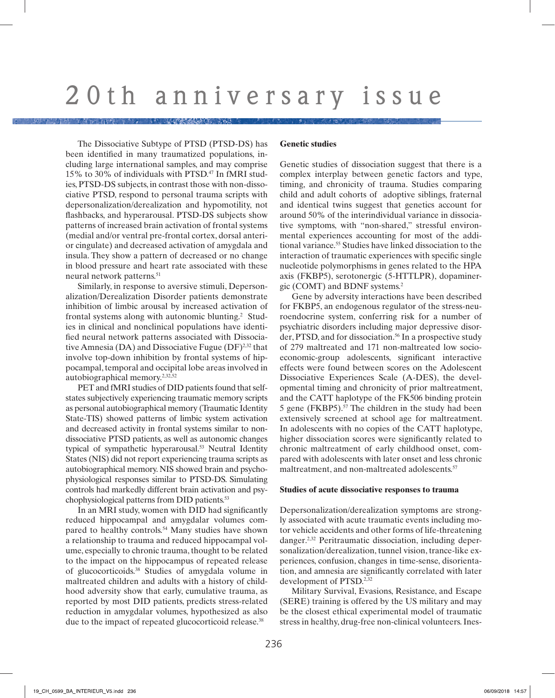The Dissociative Subtype of PTSD (PTSD-DS) has been identified in many traumatized populations, including large international samples, and may comprise 15% to 30% of individuals with PTSD.47 In fMRI studies, PTSD-DS subjects, in contrast those with non-dissociative PTSD, respond to personal trauma scripts with depersonalization/derealization and hypomotility, not flashbacks, and hyperarousal. PTSD-DS subjects show patterns of increased brain activation of frontal systems (medial and/or ventral pre-frontal cortex, dorsal anterior cingulate) and decreased activation of amygdala and insula. They show a pattern of decreased or no change in blood pressure and heart rate associated with these neural network patterns.<sup>51</sup>

Similarly, in response to aversive stimuli, Depersonalization/Derealization Disorder patients demonstrate inhibition of limbic arousal by increased activation of frontal systems along with autonomic blunting.2 Studies in clinical and nonclinical populations have identified neural network patterns associated with Dissociative Amnesia (DA) and Dissociative Fugue (DF)<sup>2,32</sup> that involve top-down inhibition by frontal systems of hippocampal, temporal and occipital lobe areas involved in autobiographical memory.2,32,52

PET and fMRI studies of DID patients found that selfstates subjectively experiencing traumatic memory scripts as personal autobiographical memory (Traumatic Identity State-TIS) showed patterns of limbic system activation and decreased activity in frontal systems similar to nondissociative PTSD patients, as well as autonomic changes typical of sympathetic hyperarousal.<sup>53</sup> Neutral Identity States (NIS) did not report experiencing trauma scripts as autobiographical memory. NIS showed brain and psychophysiological responses similar to PTSD-DS. Simulating controls had markedly different brain activation and psychophysiological patterns from DID patients.53

In an MRI study, women with DID had significantly reduced hippocampal and amygdalar volumes compared to healthy controls.<sup>54</sup> Many studies have shown a relationship to trauma and reduced hippocampal volume, especially to chronic trauma, thought to be related to the impact on the hippocampus of repeated release of glucocorticoids.38 Studies of amygdala volume in maltreated children and adults with a history of childhood adversity show that early, cumulative trauma, as reported by most DID patients, predicts stress-related reduction in amygdalar volumes, hypothesized as also due to the impact of repeated glucocorticoid release.<sup>38</sup>

#### **Genetic studies**

Genetic studies of dissociation suggest that there is a complex interplay between genetic factors and type, timing, and chronicity of trauma. Studies comparing child and adult cohorts of adoptive siblings, fraternal and identical twins suggest that genetics account for around 50% of the interindividual variance in dissociative symptoms, with "non-shared," stressful environmental experiences accounting for most of the additional variance.55 Studies have linked dissociation to the interaction of traumatic experiences with specific single nucleotide polymorphisms in genes related to the HPA axis (FKBP5), serotonergic (5-HTTLPR), dopaminergic (COMT) and BDNF systems.2

Gene by adversity interactions have been described for FKBP5, an endogenous regulator of the stress-neuroendocrine system, conferring risk for a number of psychiatric disorders including major depressive disorder, PTSD, and for dissociation.<sup>56</sup> In a prospective study of 279 maltreated and 171 non-maltreated low socioeconomic-group adolescents, significant interactive effects were found between scores on the Adolescent Dissociative Experiences Scale (A-DES), the developmental timing and chronicity of prior maltreatment, and the CATT haplotype of the FK506 binding protein 5 gene (FKBP5).57 The children in the study had been extensively screened at school age for maltreatment. In adolescents with no copies of the CATT haplotype, higher dissociation scores were significantly related to chronic maltreatment of early childhood onset, compared with adolescents with later onset and less chronic maltreatment, and non-maltreated adolescents.<sup>57</sup>

#### **Studies of acute dissociative responses to trauma**

Depersonalization/derealization symptoms are strongly associated with acute traumatic events including motor vehicle accidents and other forms of life-threatening danger.2,32 Peritraumatic dissociation, including depersonalization/derealization, tunnel vision, trance-like experiences, confusion, changes in time-sense, disorientation, and amnesia are significantly correlated with later development of PTSD.<sup>2,32</sup>

Military Survival, Evasions, Resistance, and Escape (SERE) training is offered by the US military and may be the closest ethical experimental model of traumatic stress in healthy, drug-free non-clinical volunteers. Ines-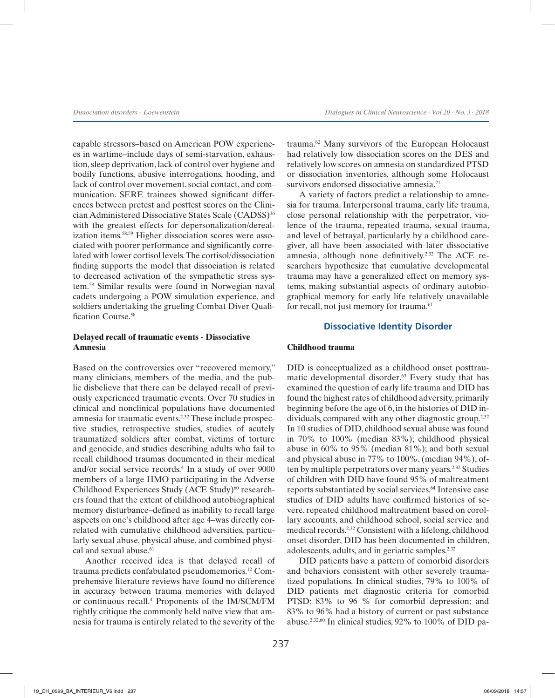capable stressors–based on American POW experiences in wartime–include days of semi-starvation, exhaustion, sleep deprivation, lack of control over hygiene and bodily functions, abusive interrogations, hooding, and lack of control over movement, social contact, and communication. SERE trainees showed significant differences between pretest and posttest scores on the Clinician Administered Dissociative States Scale (CADSS)36 with the greatest effects for depersonalization/derealization items.58,59 Higher dissociation scores were associated with poorer performance and significantly correlated with lower cortisol levels. The cortisol/dissociation finding supports the model that dissociation is related to decreased activation of the sympathetic stress system.58 Similar results were found in Norwegian naval cadets undergoing a POW simulation experience, and soldiers undertaking the grueling Combat Diver Qualification Course.58

## **Delayed recall of traumatic events - Dissociative Amnesia**

Based on the controversies over "recovered memory," many clinicians, members of the media, and the public disbelieve that there can be delayed recall of previously experienced traumatic events. Over 70 studies in clinical and nonclinical populations have documented amnesia for traumatic events.2,32 These include prospective studies, retrospective studies, studies of acutely traumatized soldiers after combat, victims of torture and genocide, and studies describing adults who fail to recall childhood traumas documented in their medical and/or social service records.4 In a study of over 9000 members of a large HMO participating in the Adverse Childhood Experiences Study  $(ACE Study)^{60}$  researchers found that the extent of childhood autobiographical memory disturbance–defined as inability to recall large aspects on one's childhood after age 4–was directly correlated with cumulative childhood adversities, particularly sexual abuse, physical abuse, and combined physical and sexual abuse.<sup>61</sup>

Another received idea is that delayed recall of trauma predicts confabulated pseudomemories.12 Comprehensive literature reviews have found no difference in accuracy between trauma memories with delayed or continuous recall.4 Proponents of the IM/SCM/FM rightly critique the commonly held naïve view that amnesia for trauma is entirely related to the severity of the

trauma.62 Many survivors of the European Holocaust had relatively low dissociation scores on the DES and relatively low scores on amnesia on standardized PTSD or dissociation inventories, although some Holocaust survivors endorsed dissociative amnesia.<sup>21</sup>

A variety of factors predict a relationship to amnesia for trauma. Interpersonal trauma, early life trauma, close personal relationship with the perpetrator, violence of the trauma, repeated trauma, sexual trauma, and level of betrayal, particularly by a childhood caregiver, all have been associated with later dissociative amnesia, although none definitively.2,32 The ACE researchers hypothesize that cumulative developmental trauma may have a generalized effect on memory systems, making substantial aspects of ordinary autobiographical memory for early life relatively unavailable for recall, not just memory for trauma.<sup>61</sup>

# **Dissociative Identity Disorder**

## **Childhood trauma**

DID is conceptualized as a childhood onset posttraumatic developmental disorder.<sup>63</sup> Every study that has examined the question of early life trauma and DID has found the highest rates of childhood adversity, primarily beginning before the age of 6, in the histories of DID individuals, compared with any other diagnostic group.<sup>2,32</sup> In 10 studies of DID, childhood sexual abuse was found in 70% to 100% (median 83%); childhood physical abuse in 60% to 95% (median 81%); and both sexual and physical abuse in 77% to 100%, (median 94%), often by multiple perpetrators over many years.2,32 Studies of children with DID have found 95% of maltreatment reports substantiated by social services.<sup>64</sup> Intensive case studies of DID adults have confirmed histories of severe, repeated childhood maltreatment based on corollary accounts, and childhood school, social service and medical records.2,32 Consistent with a lifelong, childhood onset disorder, DID has been documented in children, adolescents, adults, and in geriatric samples.2,32

DID patients have a pattern of comorbid disorders and behaviors consistent with other severely traumatized populations. In clinical studies, 79% to 100% of DID patients met diagnostic criteria for comorbid PTSD; 83% to 96 % for comorbid depression; and 83% to 96% had a history of current or past substance abuse.2,32,60 In clinical studies, 92% to 100% of DID pa-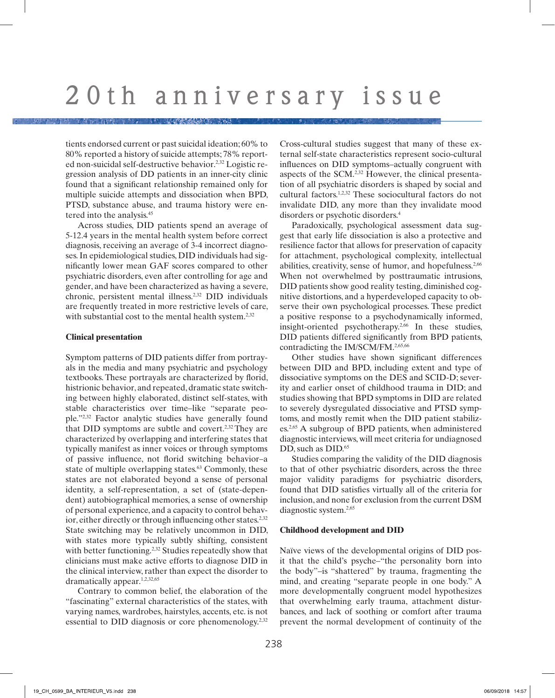tients endorsed current or past suicidal ideation; 60% to 80% reported a history of suicide attempts; 78% reported non-suicidal self-destructive behavior.2,32 Logistic regression analysis of DD patients in an inner-city clinic found that a significant relationship remained only for multiple suicide attempts and dissociation when BPD, PTSD, substance abuse, and trauma history were entered into the analysis.45

Across studies, DID patients spend an average of 5-12.4 years in the mental health system before correct diagnosis, receiving an average of 3-4 incorrect diagnoses. In epidemiological studies, DID individuals had significantly lower mean GAF scores compared to other psychiatric disorders, even after controlling for age and gender, and have been characterized as having a severe, chronic, persistent mental illness.2,32 DID individuals are frequently treated in more restrictive levels of care, with substantial cost to the mental health system.<sup>2,32</sup>

### **Clinical presentation**

Symptom patterns of DID patients differ from portrayals in the media and many psychiatric and psychology textbooks. These portrayals are characterized by florid, histrionic behavior, and repeated, dramatic state switching between highly elaborated, distinct self-states, with stable characteristics over time–like "separate people."2,32 Factor analytic studies have generally found that DID symptoms are subtle and covert.<sup>2,32</sup> They are characterized by overlapping and interfering states that typically manifest as inner voices or through symptoms of passive influence, not florid switching behavior–a state of multiple overlapping states.<sup>63</sup> Commonly, these states are not elaborated beyond a sense of personal identity, a self-representation, a set of (state-dependent) autobiographical memories, a sense of ownership of personal experience, and a capacity to control behavior, either directly or through influencing other states.<sup>2,32</sup> State switching may be relatively uncommon in DID, with states more typically subtly shifting, consistent with better functioning.<sup>2,32</sup> Studies repeatedly show that clinicians must make active efforts to diagnose DID in the clinical interview, rather than expect the disorder to dramatically appear.1,2,32,65

Contrary to common belief, the elaboration of the "fascinating" external characteristics of the states, with varying names, wardrobes, hairstyles, accents, etc. is not essential to DID diagnosis or core phenomenology.<sup>2,32</sup>

Cross-cultural studies suggest that many of these external self-state characteristics represent socio-cultural influences on DID symptoms–actually congruent with aspects of the SCM.2,32 However, the clinical presentation of all psychiatric disorders is shaped by social and cultural factors.1,2,32 These sociocultural factors do not invalidate DID, any more than they invalidate mood disorders or psychotic disorders.4

Paradoxically, psychological assessment data suggest that early life dissociation is also a protective and resilience factor that allows for preservation of capacity for attachment, psychological complexity, intellectual abilities, creativity, sense of humor, and hopefulness.2,66 When not overwhelmed by posttraumatic intrusions, DID patients show good reality testing, diminished cognitive distortions, and a hyperdeveloped capacity to observe their own psychological processes. These predict a positive response to a psychodynamically informed, insight-oriented psychotherapy.2,66 In these studies, DID patients differed significantly from BPD patients, contradicting the IM/SCM/FM.2,65,66

Other studies have shown significant differences between DID and BPD, including extent and type of dissociative symptoms on the DES and SCID-D; severity and earlier onset of childhood trauma in DID; and studies showing that BPD symptoms in DID are related to severely dysregulated dissociative and PTSD symptoms, and mostly remit when the DID patient stabilizes.2,65 A subgroup of BPD patients, when administered diagnostic interviews, will meet criteria for undiagnosed DD, such as DID.<sup>65</sup>

Studies comparing the validity of the DID diagnosis to that of other psychiatric disorders, across the three major validity paradigms for psychiatric disorders, found that DID satisfies virtually all of the criteria for inclusion, and none for exclusion from the current DSM diagnostic system.2,65

#### **Childhood development and DID**

Naïve views of the developmental origins of DID posit that the child's psyche–"the personality born into the body"–is "shattered" by trauma, fragmenting the mind, and creating "separate people in one body." A more developmentally congruent model hypothesizes that overwhelming early trauma, attachment disturbances, and lack of soothing or comfort after trauma prevent the normal development of continuity of the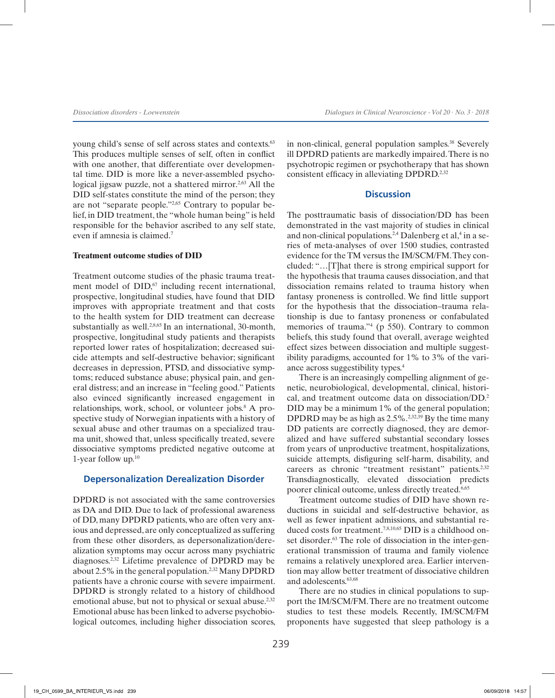young child's sense of self across states and contexts.63 This produces multiple senses of self, often in conflict with one another, that differentiate over developmental time. DID is more like a never-assembled psychological jigsaw puzzle, not a shattered mirror.<sup>2,63</sup> All the DID self-states constitute the mind of the person; they are not "separate people."2,65 Contrary to popular belief, in DID treatment, the "whole human being" is held responsible for the behavior ascribed to any self state, even if amnesia is claimed.7

### **Treatment outcome studies of DID**

Treatment outcome studies of the phasic trauma treatment model of  $DID<sub>1</sub><sup>67</sup>$  including recent international, prospective, longitudinal studies, have found that DID improves with appropriate treatment and that costs to the health system for DID treatment can decrease substantially as well.<sup>2,8,65</sup> In an international, 30-month, prospective, longitudinal study patients and therapists reported lower rates of hospitalization; decreased suicide attempts and self-destructive behavior; significant decreases in depression, PTSD, and dissociative symptoms; reduced substance abuse; physical pain, and general distress; and an increase in "feeling good." Patients also evinced significantly increased engagement in relationships, work, school, or volunteer jobs.<sup>8</sup> A prospective study of Norwegian inpatients with a history of sexual abuse and other traumas on a specialized trauma unit, showed that, unless specifically treated, severe dissociative symptoms predicted negative outcome at 1-year follow up.10

#### **Depersonalization Derealization Disorder**

DPDRD is not associated with the same controversies as DA and DID. Due to lack of professional awareness of DD, many DPDRD patients, who are often very anxious and depressed, are only conceptualized as suffering from these other disorders, as depersonalization/derealization symptoms may occur across many psychiatric diagnoses.2,32 Lifetime prevalence of DPDRD may be about 2.5% in the general population.2,32 Many DPDRD patients have a chronic course with severe impairment. DPDRD is strongly related to a history of childhood emotional abuse, but not to physical or sexual abuse.<sup>2,32</sup> Emotional abuse has been linked to adverse psychobiological outcomes, including higher dissociation scores,

in non-clinical, general population samples.<sup>38</sup> Severely ill DPDRD patients are markedly impaired. There is no psychotropic regimen or psychotherapy that has shown consistent efficacy in alleviating DPDRD.<sup>2,32</sup>

## **Discussion**

The posttraumatic basis of dissociation/DD has been demonstrated in the vast majority of studies in clinical and non-clinical populations.<sup>2,4</sup> Dalenberg et al,<sup>4</sup> in a series of meta-analyses of over 1500 studies, contrasted evidence for the TM versus the IM/SCM/FM. They concluded: "…[T]hat there is strong empirical support for the hypothesis that trauma causes dissociation, and that dissociation remains related to trauma history when fantasy proneness is controlled. We find little support for the hypothesis that the dissociation–trauma relationship is due to fantasy proneness or confabulated memories of trauma."<sup>4</sup> (p 550). Contrary to common beliefs, this study found that overall, average weighted effect sizes between dissociation and multiple suggestibility paradigms, accounted for 1% to 3% of the variance across suggestibility types.4

There is an increasingly compelling alignment of genetic, neurobiological, developmental, clinical, historical, and treatment outcome data on dissociation/DD.2 DID may be a minimum 1% of the general population; DPDRD may be as high as  $2.5\%$ .<sup>2,32,39</sup> By the time many DD patients are correctly diagnosed, they are demoralized and have suffered substantial secondary losses from years of unproductive treatment, hospitalizations, suicide attempts, disfiguring self-harm, disability, and careers as chronic "treatment resistant" patients.<sup>2,32</sup> Transdiagnostically, elevated dissociation predicts poorer clinical outcome, unless directly treated.6,65

Treatment outcome studies of DID have shown reductions in suicidal and self-destructive behavior, as well as fewer inpatient admissions, and substantial reduced costs for treatment.<sup>7,8,10,65</sup> DID is a childhood onset disorder.<sup>63</sup> The role of dissociation in the inter-generational transmission of trauma and family violence remains a relatively unexplored area. Earlier intervention may allow better treatment of dissociative children and adolescents<sup>63,68</sup>

There are no studies in clinical populations to support the IM/SCM/FM. There are no treatment outcome studies to test these models. Recently, IM/SCM/FM proponents have suggested that sleep pathology is a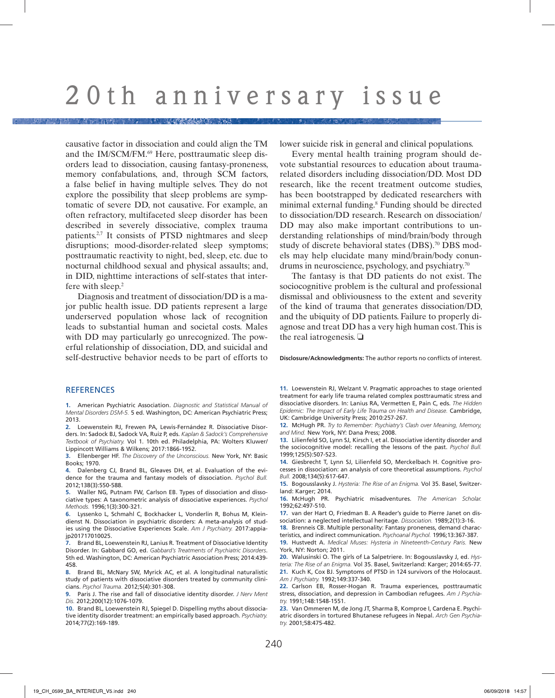causative factor in dissociation and could align the TM and the IM/SCM/FM.<sup>69</sup> Here, posttraumatic sleep disorders lead to dissociation, causing fantasy-proneness, memory confabulations, and, through SCM factors, a false belief in having multiple selves. They do not explore the possibility that sleep problems are symptomatic of severe DD, not causative. For example, an often refractory, multifaceted sleep disorder has been described in severely dissociative, complex trauma patients.2,7 It consists of PTSD nightmares and sleep disruptions; mood-disorder-related sleep symptoms; posttraumatic reactivity to night, bed, sleep, etc. due to nocturnal childhood sexual and physical assaults; and, in DID, nighttime interactions of self-states that interfere with sleep.2

Diagnosis and treatment of dissociation/DD is a major public health issue. DD patients represent a large underserved population whose lack of recognition leads to substantial human and societal costs. Males with DD may particularly go unrecognized. The powerful relationship of dissociation, DD, and suicidal and self-destructive behavior needs to be part of efforts to lower suicide risk in general and clinical populations.

Every mental health training program should devote substantial resources to education about traumarelated disorders including dissociation/DD. Most DD research, like the recent treatment outcome studies, has been bootstrapped by dedicated researchers with minimal external funding.8 Funding should be directed to dissociation/DD research. Research on dissociation/ DD may also make important contributions to understanding relationships of mind/brain/body through study of discrete behavioral states (DBS).<sup>70</sup> DBS models may help elucidate many mind/brain/body conundrums in neuroscience, psychology, and psychiatry.70

The fantasy is that DD patients do not exist. The sociocognitive problem is the cultural and professional dismissal and obliviousness to the extent and severity of the kind of trauma that generates dissociation/DD, and the ubiquity of DD patients. Failure to properly diagnose and treat DD has a very high human cost. This is the real iatrogenesis.  $\Box$ 

**Disclosure/Acknowledgments:** The author reports no conflicts of interest.

#### **REFERENCES**

**1.** American Psychiatric Association. *Diagnostic and Statistical Manual of Mental Disorders DSM-5.* 5 ed. Washington, DC: American Psychiatric Press; 2013.

**2.** Loewenstein RJ, Frewen PA, Lewis-Fernández R. Dissociative Disorders. In: Sadock BJ, Sadock VA, Ruiz P, eds. *Kaplan & Sadock's Comprehensive Textbook of Psychiatry.* Vol 1. 10th ed. Philadelphia, PA: Wolters Kluwer/ Lippincott Williams & Wilkens; 2017:1866-1952.

**3.** Ellenberger HF. *The Discovery of the Unconscious.* New York, NY: Basic Books; 1970.

**4.** Dalenberg CJ, Brand BL, Gleaves DH, et al. Evaluation of the evidence for the trauma and fantasy models of dissociation. *Psychol Bull.*  2012;138(3):550-588.

**5.** Waller NG, Putnam FW, Carlson EB. Types of dissociation and dissociative types: A taxonometric analysis of dissociative experiences. *Psychol Methods.* 1996;1(3):300-321.

**6.** Lyssenko L, Schmahl C, Bockhacker L, Vonderlin R, Bohus M, Kleindienst N. Dissociation in psychiatric disorders: A meta-analysis of studies using the Dissociative Experiences Scale. *Am J Psychiatry.* 2017:appiajp201717010025.

**7.** Brand BL, Loewenstein RJ, Lanius R. Treatment of Dissociative Identity Disorder. In: Gabbard GO, ed. *Gabbard's Treatments of Psychiatric Disorders*. 5th ed. Washington, DC: American Psychiatric Association Press; 2014:439- 458.

**8.** Brand BL, McNary SW, Myrick AC, et al. A longitudinal naturalistic study of patients with dissociative disorders treated by community clinicians. *Psychol Trauma.* 2012;5(4):301-308.

**9.** Paris J. The rise and fall of dissociative identity disorder. *J Nerv Ment Dis.* 2012;200(12):1076-1079.

**10.** Brand BL, Loewenstein RJ, Spiegel D. Dispelling myths about dissociative identity disorder treatment: an empirically based approach. *Psychiatry.*  2014;77(2):169-189.

**11.** Loewenstein RJ, Welzant V. Pragmatic approaches to stage oriented treatment for early life trauma related complex posttraumatic stress and dissociative disorders. In: Lanius RA, Vermetten E, Pain C, eds. *The Hidden Epidemic: The Impact of Early Life Trauma on Health and Disease.* Cambridge, UK: Cambridge University Press; 2010:257-267.

**12.** McHugh PR. *Try to Remember: Psychiatry's Clash over Meaning, Memory, and Mind.* New York, NY: Dana Press; 2008.

**13.** Lilienfeld SO, Lynn SJ, Kirsch I, et al. Dissociative identity disorder and the sociocognitive model: recalling the lessons of the past. *Psychol Bull.*  1999;125(5):507-523.

**14.** Giesbrecht T, Lynn SJ, Lilienfeld SO, Merckelbach H. Cognitive processes in dissociation: an analysis of core theoretical assumptions. *Psychol Bull.* 2008;134(5):617-647.

**15.** Bogousslavsky J. *Hysteria: The Rise of an Enigma.* Vol 35. Basel, Switzerland: Karger; 2014.

**16.** McHugh PR. Psychiatric misadventures. *The American Scholar.*  1992;62:497-510.

**17.** van der Hart O, Friedman B. A Reader's guide to Pierre Janet on dissociation: a neglected intellectual heritage. *Dissociation.* 1989;2(1):3-16.

**18.** Brenneis CB. Multiple personality: Fantasy proneness, demand characteristics, and indirect communication. *Psychoanal Psychol.* 1996;13:367-387.

**19.** Hustvedt A. *Medical Muses: Hysteria in Nineteenth-Century Paris.* New York, NY: Norton; 2011.

**20.** Walusinski O. The girls of La Salpetriere. In: Bogousslavsky J, ed. *Hysteria: The Rise of an Enigma.* Vol 35. Basel, Switzerland: Karger; 2014:65-77. **21.** Kuch K, Cox BJ. Symptoms of PTSD in 124 survivors of the Holocaust. *Am J Psychiatry.* 1992;149:337-340.

**22.** Carlson EB, Rosser-Hogan R. Trauma experiences, posttraumatic stress, dissociation, and depression in Cambodian refugees. *Am J Psychiatry.* 1991;148:1548-1551.

**23.** Van Ommeren M, de Jong JT, Sharma B, Komproe I, Cardena E. Psychiatric disorders in tortured Bhutanese refugees in Nepal. *Arch Gen Psychiatry.* 2001;58:475-482.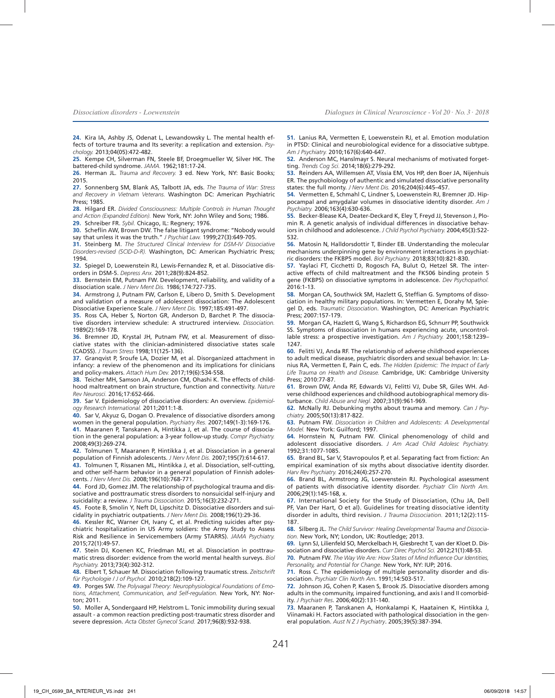**24.** Kira IA, Ashby JS, Odenat L, Lewandowsky L. The mental health effects of torture trauma and Its severity: a replication and extension. *Psychology.* 2013;04(05):472-482.

**25.** Kempe CH, Silverman FN, Steele BF, Droegmueller W, Silver HK. The battered-child syndrome. *JAMA.* 1962;181:17-24.

**26.** Herman JL. *Trauma and Recovery.* 3 ed. New York, NY: Basic Books; 2015.

**27.** Sonnenberg SM, Blank AS, Talbott JA, eds. *The Trauma of War: Stress and Recovery in Vietnam Veterans.* Washington DC: American Psychiatric Press; 1985.

**28.** Hilgard ER. *Divided Consciousness: Multiple Controls in Human Thought and Action (Expanded Edition).* New York, NY: John Wiley and Sons; 1986. **29.** Schreiber FR. *Sybil.* Chicago, IL: Regnery; 1976.

**30.** Scheflin AW, Brown DW. The false litigant syndrome: "Nobody would

say that unless it was the truth." *J Psychiat Law.* 1999;27(3):649-705.

**31.** Steinberg M. *The Structured Clinical Interview for DSM-IV Dissociative Disorders-revised (SCID-D-R).* Washington, DC: American Psychiatric Press; 1994.

**32.** Spiegel D, Loewenstein RJ, Lewis-Fernandez R, et al. Dissociative disorders in DSM-5. *Depress Anx.* 2011;28(9):824-852.

**33.** Bernstein EM, Putnam FW. Development, reliability, and validity of a dissociation scale. *J Nerv Ment Dis.* 1986;174:727-735.

**34.** Armstrong J, Putnam FW, Carlson E, Libero D, Smith S. Development and validation of a measure of adolescent dissociation: The Adolescent Dissociative Experience Scale. *J Nerv Ment Dis.* 1997;185:491-497.

**35.** Ross CA, Heber S, Norton GR, Anderson D, Barchet P. The dissociative disorders interview schedule: A structrured interview. *Dissociation.*  1989(2):169-178.

**36.** Bremner JD, Krystal JH, Putnam FW, et al. Measurement of dissociative states with the clinician-administered dissociative states scale (CADSS). *J Traum Stress* 1998;11(125-136).

**37.** Granqvist P, Sroufe LA, Dozier M, et al. Disorganized attachment in infancy: a review of the phenomenon and its implications for clinicians and policy-makers. *Attach Hum Dev.* 2017;19(6):534-558.

**38.** Teicher MH, Samson JA, Anderson CM, Ohashi K. The effects of childhood maltreatment on brain structure, function and connectivity. *Nature Rev Neurosci.* 2016;17:652-666.

**39.** Sar V. Epidemiology of dissociative disorders: An overview. *Epidemiology Research International.* 2011;2011:1-8.

**40.** Sar V, Akyuz G, Dogan O. Prevalence of dissociative disorders among women in the general population. *Psychiatry Res.* 2007;149(1-3):169-176.

**41.** Maaranen P, Tanskanen A, Hintikka J, et al. The course of dissociation in the general population: a 3-year follow-up study. *Compr Psychiatry.*  2008;49(3):269-274.

**42.** Tolmunen T, Maaranen P, Hintikka J, et al. Dissociation in a general population of Finnish adolescents. *J Nerv Ment Dis.* 2007;195(7):614-617.

**43.** Tolmunen T, Rissanen ML, Hintikka J, et al. Dissociation, self-cutting, and other self-harm behavior in a general population of Finnish adolescents. *J Nerv Ment Dis.* 2008;196(10):768-771.

**44.** Ford JD, Gomez JM. The relationship of psychological trauma and dissociative and posttraumatic stress disorders to nonsuicidal self-injury and suicidality: a review. *J Trauma Dissociation.* 2015;16(3):232-271.

**45.** Foote B, Smolin Y, Neft DI, Lipschitz D. Dissociative disorders and suicidality in psychiatric outpatients. *J Nerv Ment Dis.* 2008;196(1):29-36.

**46.** Kessler RC, Warner CH, Ivany C, et al. Predicting suicides after psychiatric hospitalization in US Army soldiers: the Army Study to Assess Risk and Resilience in Servicemembers (Army STARRS). *JAMA Psychiatry.*  2015;72(1):49-57.

**47.** Stein DJ, Koenen KC, Friedman MJ, et al. Dissociation in posttraumatic stress disorder: evidence from the world mental health surveys. *Biol Psychiatry.* 2013;73(4):302-312.

**48.** Elbert T, Schauer M. Dissociation following traumatic stress. *Zeitschrift für Psychologie / J of Psychol.* 2010;218(2):109-127.

**49.** Porges SW. *The Polyvagal Theory: Neurophysiological Foundations of Emotions, Attachment, Communication, and Self-regulation.* New York, NY: Norton; 2011.

**50.** Moller A, Sondergaard HP, Helstrom L. Tonic immobility during sexual assault - a common reaction predicting post-traumatic stress disorder and severe depression. *Acta Obstet Gynecol Scand.* 2017;96(8):932-938.

**51.** Lanius RA, Vermetten E, Loewenstein RJ, et al. Emotion modulation in PTSD: Clinical and neurobiological evidence for a dissociative subtype. *Am J Psychiatry.* 2010;167(6):640-647.

**52.** Anderson MC, Hanslmayr S. Neural mechanisms of motivated forgetting. *Trends Cog Sci.* 2014;18(6):279-292.

**53.** Reinders AA, Willemsen AT, Vissia EM, Vos HP, den Boer JA, Nijenhuis ER. The psychobiology of authentic and simulated dissociative personality states: the full monty. *J Nerv Ment Dis.* 2016;204(6):445–457.

**54.** Vermetten E, Schmahl C, Lindner S, Loewenstein RJ, Bremner JD. Hippocampal and amygdalar volumes in dissociative identity disorder. *Am J Psychiatry.* 2006;163(4):630-636.

**55.** Becker-Blease KA, Deater-Deckard K, Eley T, Freyd JJ, Stevenson J, Plomin R. A genetic analysis of individual differences in dissociative behaviors in childhood and adolescence. *J Child Psychol Psychiatry.* 2004;45(3):522- 532.

**56.** Matosin N, Halldorsdottir T, Binder EB. Understanding the molecular mechanisms underpinning gene by environment interactions in psychiatric disorders: the FKBP5 model. *Biol Psychiatry.* 2018;83(10):821-830.

**57.** Yaylaci FT, Cicchetti D, Rogosch FA, Bulut O, Hetzel SR. The interactive effects of child maltreatment and the FK506 binding protein 5 gene (FKBP5) on dissociative symptoms in adolescence. *Dev Psychopathol.*  2016:1-13.

**58.** Morgan CA, Southwick SM, Hazlett G, Steffian G. Symptoms of dissociation in healthy military populations. In: Vermetten E, Dorahy M, Spiegel D, eds. *Traumatic Dissociation*. Washington, DC: American Psychiatric Press; 2007:157-179.

**59.** Morgan CA, Hazlett G, Wang S, Richardson EG, Schnurr PP, Southwick SS. Symptoms of dissociation in humans experiencing acute, uncontrollable stress: a prospective investigation. *Am J Psychiatry.* 2001;158:1239– 1247.

**60.** Felitti VJ, Anda RF. The relationship of adverse childhood experiences to adult medical disease, psychiatric disorders and sexual behavior. In: Lanius RA, Vermetten E, Pain C, eds. *The Hidden Epidemic: The Impact of Early Life Trauma on Health and Disease.* Cambridge, UK: Cambridge University Press; 2010:77-87.

**61.** Brown DW, Anda RF, Edwards VJ, Felitti VJ, Dube SR, Giles WH. Adverse childhood experiences and childhood autobiographical memory disturbance. *Child Abuse and Negl.* 2007;31(9):961-969.

**62.** McNally RJ. Debunking myths about trauma and memory. *Can J Psychiatry.* 2005;50(13):817-822.

**63.** Putnam FW. *Dissociation in Children and Adolescents: A Developmental Model.* New York: Guilford; 1997.

**64.** Hornstein N, Putnam FW. Clinical phenomenology of child and adolescent dissociative disorders. *J Am Acad Child Adolesc Psychiatry.*  1992;31:1077-1085.

**65.** Brand BL, Sar V, Stavropoulos P, et al. Separating fact from fiction: An empirical examination of six myths about dissociative identity disorder. *Harv Rev Psychiatry.* 2016;24(4):257-270.

**66.** Brand BL, Armstrong JG, Loewenstein RJ. Psychological assessment of patients with dissociative identity disorder. *Psychiatr Clin North Am.*  2006;29(1):145-168, x.

**67.** International Society for the Study of Dissociation, (Chu JA, Dell PF, Van Der Hart, O et al). Guidelines for treating dissociative identity disorder in adults, third revision. *J Trauma Dissociation.* 2011;12(2):115- 187.

**68.** Silberg JL. *The Child Survivor: Healing Developmental Trauma and Dissociation.* New York, NY; London, UK: Routledge; 2013.

**69.** Lynn SJ, Lilienfeld SO, Merckelbach H, Giesbrecht T, van der Kloet D. Dissociation and dissociative disorders. *Curr Direc Psychol Sci.* 2012;21(1):48-53.

**70.** Putnam FW. *The Way We Are: How States of Mind Influence Our Identities, Personality, and Potential for Change.* New York, NY: IUP; 2016.

**71.** Ross C. The epidemiology of multiple personality disorder and dissociation. *Psychiatr Clin North Am*. 1991;14:503-517.

**72.** Johnson JG, Cohen P, Kasen S, Brook JS. Dissociative disorders among adults in the community, impaired functioning, and axis I and II comorbidity. *J Psychiatr Res*. 2006;40(2):131-140.

**73.** Maaranen P, Tanskanen A, Honkalampi K, Haatainen K, Hintikka J, Viinamaki H. Factors associated with pathological dissociation in the general population. *Aust N Z J Psychiatry*. 2005;39(5):387-394.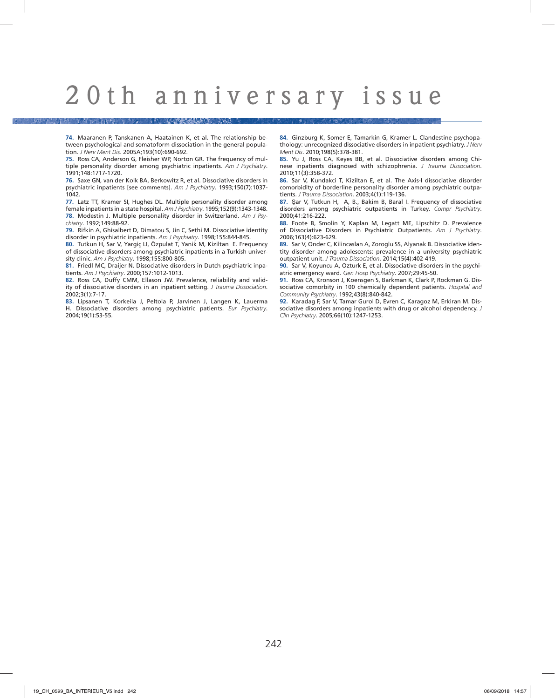A ROLL RESERVED ON THE BUILDING

**74.** Maaranen P, Tanskanen A, Haatainen K, et al. The relationship between psychological and somatoform dissociation in the general population. *J Nerv Ment Dis.* 2005A;193(10):690-692.

**75.** Ross CA, Anderson G, Fleisher WP, Norton GR. The frequency of multiple personality disorder among psychiatric inpatients. *Am J Psychiatry*. 1991;148:1717-1720.

**76.** Saxe GN, van der Kolk BA, Berkowitz R, et al. Dissociative disorders in psychiatric inpatients [see comments]. *Am J Psychiatry*. 1993;150(7):1037- 1042.

**77.** Latz TT, Kramer SI, Hughes DL. Multiple personality disorder among female inpatients in a state hospital. *Am J Psychiatry*. 1995;152(9):1343-1348. **78.** Modestin J. Multiple personality disorder in Switzerland. *Am J Psychiatry*. 1992;149:88-92.

**79.** Rifkin A, Ghisalbert D, Dimatou S, Jin C, Sethi M. Dissociative identity disorder in psychiatric inpatients. *Am J Psychiatry*. 1998;155:844-845.

**80.** Tutkun H, Sar V, Yargiç LI, Özpulat T, Yanik M, Kiziltan E. Frequency of dissociative disorders among psychiatric inpatients in a Turkish university clinic. *Am J Psychiatry*. 1998;155:800-805.

**81.** Friedl MC, Draijer N. Dissociative disorders in Dutch psychiatric inpatients. *Am J Psychiatry*. 2000;157:1012-1013.

**82.** Ross CA, Duffy CMM, Ellason JW. Prevalence, reliability and validity of dissociative disorders in an inpatient setting. *J Trauma Dissociation*. 2002;3(1):7-17.

**83.** Lipsanen T, Korkeila J, Peltola P, Jarvinen J, Langen K, Lauerma H. Dissociative disorders among psychiatric patients. *Eur Psychiatry*. 2004;19(1):53-55.

**84.** Ginzburg K, Somer E, Tamarkin G, Kramer L. Clandestine psychopathology: unrecognized dissociative disorders in inpatient psychiatry. *J Nerv Ment Dis*. 2010;198(5):378-381.

**85.** Yu J, Ross CA, Keyes BB, et al. Dissociative disorders among Chinese inpatients diagnosed with schizophrenia. *J Trauma Dissociation*. 2010;11(3):358-372.

**86.** Sar V, Kundakci T, Kiziltan E, et al. The Axis-I dissociative disorder comorbidity of borderline personality disorder among psychiatric outpatients. *J Trauma Dissociation*. 2003;4(1):119-136.

**87.** Şar V, Tutkun H, A, B., Bakim B, Baral I. Frequency of dissociative disorders among psychiatric outpatients in Turkey. *Compr Psychiatry*. 2000;41:216-222.

**88.** Foote B, Smolin Y, Kaplan M, Legatt ME, Lipschitz D. Prevalence of Dissociative Disorders in Psychiatric Outpatients. *Am J Psychiatry*. 2006;163(4):623-629.

**89.** Sar V, Onder C, Kilincaslan A, Zoroglu SS, Alyanak B. Dissociative identity disorder among adolescents: prevalence in a university psychiatric outpatient unit. *J Trauma Dissociation*. 2014;15(4):402-419.

**90.** Sar V, Koyuncu A, Ozturk E, et al. Dissociative disorders in the psychiatric emergency ward. *Gen Hosp Psychiatry*. 2007;29:45-50.

**91.** Ross CA, Kronson J, Koensgen S, Barkman K, Clark P, Rockman G. Dissociative comorbity in 100 chemically dependent patients. *Hospital and Community Psychiatry*. 1992;43(8):840-842.

**92.** Karadag F, Sar V, Tamar Gurol D, Evren C, Karagoz M, Erkiran M. Dissociative disorders among inpatients with drug or alcohol dependency. *J Clin Psychiatry*. 2005;66(10):1247-1253.